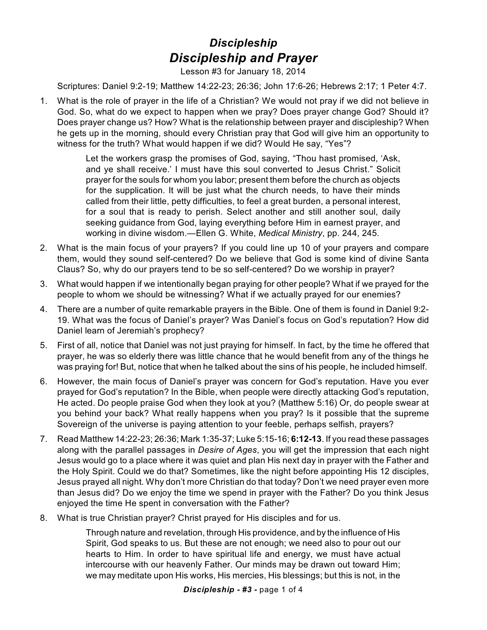## *Discipleship Discipleship and Prayer*

Lesson #3 for January 18, 2014

Scriptures: Daniel 9:2-19; Matthew 14:22-23; 26:36; John 17:6-26; Hebrews 2:17; 1 Peter 4:7.

1. What is the role of prayer in the life of a Christian? We would not pray if we did not believe in God. So, what do we expect to happen when we pray? Does prayer change God? Should it? Does prayer change us? How? What is the relationship between prayer and discipleship? When he gets up in the morning, should every Christian pray that God will give him an opportunity to witness for the truth? What would happen if we did? Would He say, "Yes"?

> Let the workers grasp the promises of God, saying, "Thou hast promised, 'Ask, and ye shall receive.' I must have this soul converted to Jesus Christ." Solicit prayer for the souls for whom you labor; present them before the church as objects for the supplication. It will be just what the church needs, to have their minds called from their little, petty difficulties, to feel a great burden, a personal interest, for a soul that is ready to perish. Select another and still another soul, daily seeking guidance from God, laying everything before Him in earnest prayer, and working in divine wisdom.—Ellen G. White, *Medical Ministry*, pp. 244, 245.

- 2. What is the main focus of your prayers? If you could line up 10 of your prayers and compare them, would they sound self-centered? Do we believe that God is some kind of divine Santa Claus? So, why do our prayers tend to be so self-centered? Do we worship in prayer?
- 3. What would happen if we intentionally began praying for other people? What if we prayed for the people to whom we should be witnessing? What if we actually prayed for our enemies?
- 4. There are a number of quite remarkable prayers in the Bible. One of them is found in Daniel 9:2- 19. What was the focus of Daniel's prayer? Was Daniel's focus on God's reputation? How did Daniel learn of Jeremiah's prophecy?
- 5. First of all, notice that Daniel was not just praying for himself. In fact, by the time he offered that prayer, he was so elderly there was little chance that he would benefit from any of the things he was praying for! But, notice that when he talked about the sins of his people, he included himself.
- 6. However, the main focus of Daniel's prayer was concern for God's reputation. Have you ever prayed for God's reputation? In the Bible, when people were directly attacking God's reputation, He acted. Do people praise God when they look at you? (Matthew 5:16) Or, do people swear at you behind your back? What really happens when you pray? Is it possible that the supreme Sovereign of the universe is paying attention to your feeble, perhaps selfish, prayers?
- 7. Read Matthew 14:22-23; 26:36; Mark 1:35-37; Luke 5:15-16; **6:12-13**. If you read these passages along with the parallel passages in *Desire of Ages*, you will get the impression that each night Jesus would go to a place where it was quiet and plan His next day in prayer with the Father and the Holy Spirit. Could we do that? Sometimes, like the night before appointing His 12 disciples, Jesus prayed all night. Why don't more Christian do that today? Don't we need prayer even more than Jesus did? Do we enjoy the time we spend in prayer with the Father? Do you think Jesus enjoyed the time He spent in conversation with the Father?
- 8. What is true Christian prayer? Christ prayed for His disciples and for us.

Through nature and revelation, through His providence, and by the influence of His Spirit, God speaks to us. But these are not enough; we need also to pour out our hearts to Him. In order to have spiritual life and energy, we must have actual intercourse with our heavenly Father. Our minds may be drawn out toward Him; we may meditate upon His works, His mercies, His blessings; but this is not, in the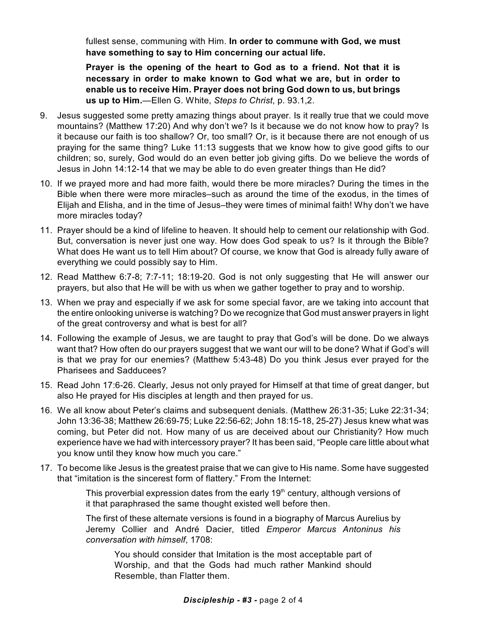fullest sense, communing with Him. **In order to commune with God, we must have something to say to Him concerning our actual life.** 

**Prayer is the opening of the heart to God as to a friend. Not that it is necessary in order to make known to God what we are, but in order to enable us to receive Him. Prayer does not bring God down to us, but brings us up to Him.**—Ellen G. White, *Steps to Christ*, p. 93.1,2.

- 9. Jesus suggested some pretty amazing things about prayer. Is it really true that we could move mountains? (Matthew 17:20) And why don't we? Is it because we do not know how to pray? Is it because our faith is too shallow? Or, too small? Or, is it because there are not enough of us praying for the same thing? Luke 11:13 suggests that we know how to give good gifts to our children; so, surely, God would do an even better job giving gifts. Do we believe the words of Jesus in John 14:12-14 that we may be able to do even greater things than He did?
- 10. If we prayed more and had more faith, would there be more miracles? During the times in the Bible when there were more miracles–such as around the time of the exodus, in the times of Elijah and Elisha, and in the time of Jesus–they were times of minimal faith! Why don't we have more miracles today?
- 11. Prayer should be a kind of lifeline to heaven. It should help to cement our relationship with God. But, conversation is never just one way. How does God speak to us? Is it through the Bible? What does He want us to tell Him about? Of course, we know that God is already fully aware of everything we could possibly say to Him.
- 12. Read Matthew 6:7-8; 7:7-11; 18:19-20. God is not only suggesting that He will answer our prayers, but also that He will be with us when we gather together to pray and to worship.
- 13. When we pray and especially if we ask for some special favor, are we taking into account that the entire onlooking universe is watching? Do we recognize that God must answer prayers in light of the great controversy and what is best for all?
- 14. Following the example of Jesus, we are taught to pray that God's will be done. Do we always want that? How often do our prayers suggest that we want our will to be done? What if God's will is that we pray for our enemies? (Matthew 5:43-48) Do you think Jesus ever prayed for the Pharisees and Sadducees?
- 15. Read John 17:6-26. Clearly, Jesus not only prayed for Himself at that time of great danger, but also He prayed for His disciples at length and then prayed for us.
- 16. We all know about Peter's claims and subsequent denials. (Matthew 26:31-35; Luke 22:31-34; John 13:36-38; Matthew 26:69-75; Luke 22:56-62; John 18:15-18, 25-27) Jesus knew what was coming, but Peter did not. How many of us are deceived about our Christianity? How much experience have we had with intercessory prayer? It has been said, "People care little about what you know until they know how much you care."
- 17. To become like Jesus is the greatest praise that we can give to His name. Some have suggested that "imitation is the sincerest form of flattery." From the Internet:

This proverbial expression dates from the early 19<sup>th</sup> century, although versions of it that paraphrased the same thought existed well before then.

The first of these alternate versions is found in a biography of Marcus Aurelius by Jeremy Collier and André Dacier, titled *Emperor Marcus Antoninus his conversation with himself*, 1708:

You should consider that Imitation is the most acceptable part of Worship, and that the Gods had much rather Mankind should Resemble, than Flatter them.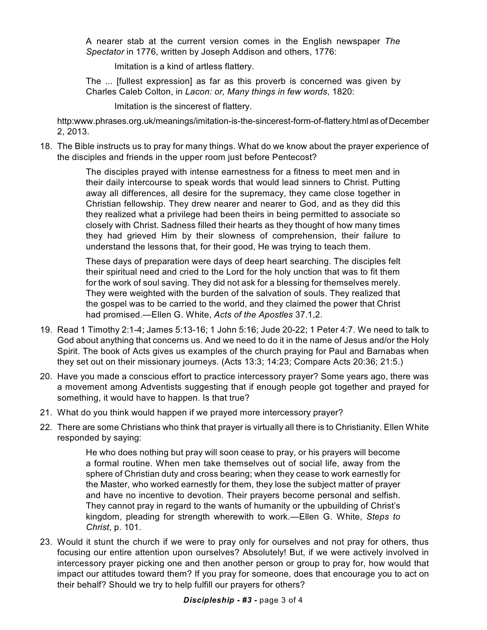A nearer stab at the current version comes in the English newspaper *The Spectator* in 1776, written by Joseph Addison and others, 1776:

Imitation is a kind of artless flattery.

The ... [fullest expression] as far as this proverb is concerned was given by Charles Caleb Colton, in *Lacon: or, Many things in few words*, 1820:

Imitation is the sincerest of flattery.

http:www.phrases.org.uk/meanings/imitation-is-the-sincerest-form-of-flattery.html as of December 2, 2013.

18. The Bible instructs us to pray for many things. What do we know about the prayer experience of the disciples and friends in the upper room just before Pentecost?

> The disciples prayed with intense earnestness for a fitness to meet men and in their daily intercourse to speak words that would lead sinners to Christ. Putting away all differences, all desire for the supremacy, they came close together in Christian fellowship. They drew nearer and nearer to God, and as they did this they realized what a privilege had been theirs in being permitted to associate so closely with Christ. Sadness filled their hearts as they thought of how many times they had grieved Him by their slowness of comprehension, their failure to understand the lessons that, for their good, He was trying to teach them.

> These days of preparation were days of deep heart searching. The disciples felt their spiritual need and cried to the Lord for the holy unction that was to fit them for the work of soul saving. They did not ask for a blessing for themselves merely. They were weighted with the burden of the salvation of souls. They realized that the gospel was to be carried to the world, and they claimed the power that Christ had promised.—Ellen G. White, *Acts of the Apostles* 37.1,2.

- 19. Read 1 Timothy 2:1-4; James 5:13-16; 1 John 5:16; Jude 20-22; 1 Peter 4:7. We need to talk to God about anything that concerns us. And we need to do it in the name of Jesus and/or the Holy Spirit. The book of Acts gives us examples of the church praying for Paul and Barnabas when they set out on their missionary journeys. (Acts 13:3; 14:23; Compare Acts 20:36; 21:5.)
- 20. Have you made a conscious effort to practice intercessory prayer? Some years ago, there was a movement among Adventists suggesting that if enough people got together and prayed for something, it would have to happen. Is that true?
- 21. What do you think would happen if we prayed more intercessory prayer?
- 22. There are some Christians who think that prayer is virtually all there is to Christianity. Ellen White responded by saying:

He who does nothing but pray will soon cease to pray, or his prayers will become a formal routine. When men take themselves out of social life, away from the sphere of Christian duty and cross bearing; when they cease to work earnestly for the Master, who worked earnestly for them, they lose the subject matter of prayer and have no incentive to devotion. Their prayers become personal and selfish. They cannot pray in regard to the wants of humanity or the upbuilding of Christ's kingdom, pleading for strength wherewith to work.—Ellen G. White, *Steps to Christ*, p. 101.

23. Would it stunt the church if we were to pray only for ourselves and not pray for others, thus focusing our entire attention upon ourselves? Absolutely! But, if we were actively involved in intercessory prayer picking one and then another person or group to pray for, how would that impact our attitudes toward them? If you pray for someone, does that encourage you to act on their behalf? Should we try to help fulfill our prayers for others?